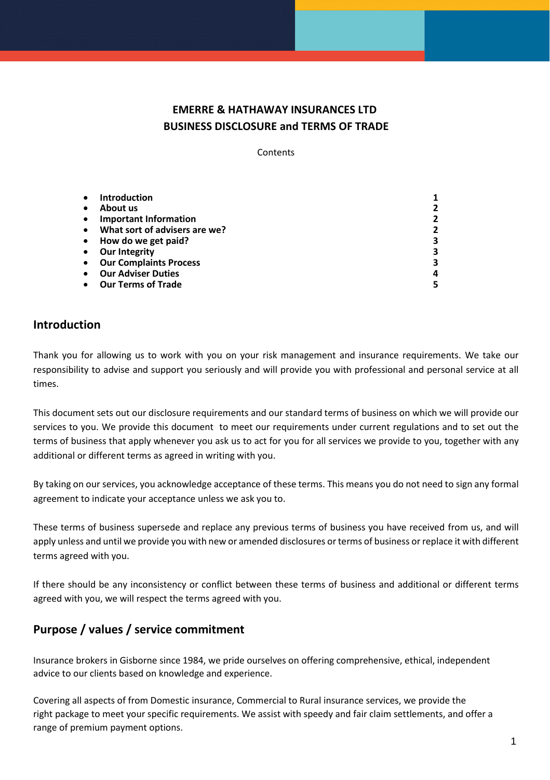# **EMERRE & HATHAWAY INSURANCES LTD BUSINESS DISCLOSURE and TERMS OF TRADE**

**Contents** 

|           | <b>Introduction</b>           |   |
|-----------|-------------------------------|---|
|           | About us                      |   |
| $\bullet$ | <b>Important Information</b>  | 2 |
|           | What sort of advisers are we? | 2 |
| $\bullet$ | How do we get paid?           | 3 |
|           | <b>Our Integrity</b>          | 3 |
|           | <b>Our Complaints Process</b> | 3 |
|           | <b>Our Adviser Duties</b>     | 4 |
|           | <b>Our Terms of Trade</b>     |   |

### **Introduction**

Thank you for allowing us to work with you on your risk management and insurance requirements. We take our responsibility to advise and support you seriously and will provide you with professional and personal service at all times.

This document sets out our disclosure requirements and our standard terms of business on which we will provide our services to you. We provide this document to meet our requirements under current regulations and to set out the terms of business that apply whenever you ask us to act for you for all services we provide to you, together with any additional or different terms as agreed in writing with you.

By taking on our services, you acknowledge acceptance of these terms. This means you do not need to sign any formal agreement to indicate your acceptance unless we ask you to.

These terms of business supersede and replace any previous terms of business you have received from us, and will apply unless and until we provide you with new or amended disclosures or terms of business or replace it with different terms agreed with you.

If there should be any inconsistency or conflict between these terms of business and additional or different terms agreed with you, we will respect the terms agreed with you.

# **Purpose / values / service commitment**

Insurance brokers in Gisborne since 1984, we pride ourselves on offering comprehensive, ethical, independent advice to our clients based on knowledge and experience.

Covering all aspects of from [Domestic](https://ehinsurance.co.nz/insurance-services/domestic-insurance-services/) insurance, [Commercial](https://ehinsurance.co.nz/insurance-services/commercial-insurance-services/) to [Rural](https://ehinsurance.co.nz/insurance-services/rural-insurance-services/) insurance services, we provide the right package to meet your specific requirements. We assist with speedy and fair [claim settlements,](https://ehinsurance.co.nz/insurance-services/insurance-claims/) and offer a range of premium payment options.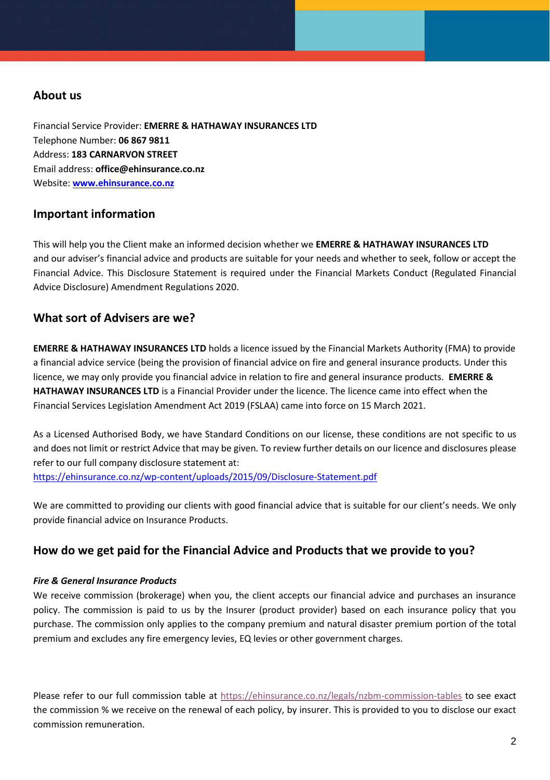## **About us**

Financial Service Provider: **EMERRE & HATHAWAY INSURANCES LTD** Telephone Number: **06 867 9811** Address: **183 CARNARVON STREET** Email address: **office@ehinsurance.co.nz** Website: **<www.ehinsurance.co.nz>**

## **Important information**

This will help you the Client make an informed decision whether we **EMERRE & HATHAWAY INSURANCES LTD** and our adviser's financial advice and products are suitable for your needs and whether to seek, follow or accept the Financial Advice. This Disclosure Statement is required under the Financial Markets Conduct (Regulated Financial Advice Disclosure) Amendment Regulations 2020.

## **What sort of Advisers are we?**

**EMERRE & HATHAWAY INSURANCES LTD** holds a licence issued by the Financial Markets Authority (FMA) to provide a financial advice service (being the provision of financial advice on fire and general insurance products. Under this licence, we may only provide you financial advice in relation to fire and general insurance products. **EMERRE & HATHAWAY INSURANCES LTD** is a Financial Provider under the licence. The licence came into effect when the Financial Services Legislation Amendment Act 2019 (FSLAA) came into force on 15 March 2021.

As a Licensed Authorised Body, we have Standard Conditions on our license, these conditions are not specific to us and does not limit or restrict Advice that may be given. To review further details on our licence and disclosures please refer to our full company disclosure statement at:

<https://ehinsurance.co.nz/wp-content/uploads/2015/09/Disclosure-Statement.pdf>

We are committed to providing our clients with good financial advice that is suitable for our client's needs. We only provide financial advice on Insurance Products.

### **How do we get paid for the Financial Advice and Products that we provide to you?**

### *Fire & General Insurance Products*

We receive commission (brokerage) when you, the client accepts our financial advice and purchases an insurance policy. The commission is paid to us by the Insurer (product provider) based on each insurance policy that you purchase. The commission only applies to the company premium and natural disaster premium portion of the total premium and excludes any fire emergency levies, EQ levies or other government charges.

Please refer to our full commission table at<https://ehinsurance.co.nz/legals/nzbm-commission-tables> to see exact the commission % we receive on the renewal of each policy, by insurer. This is provided to you to disclose our exact commission remuneration.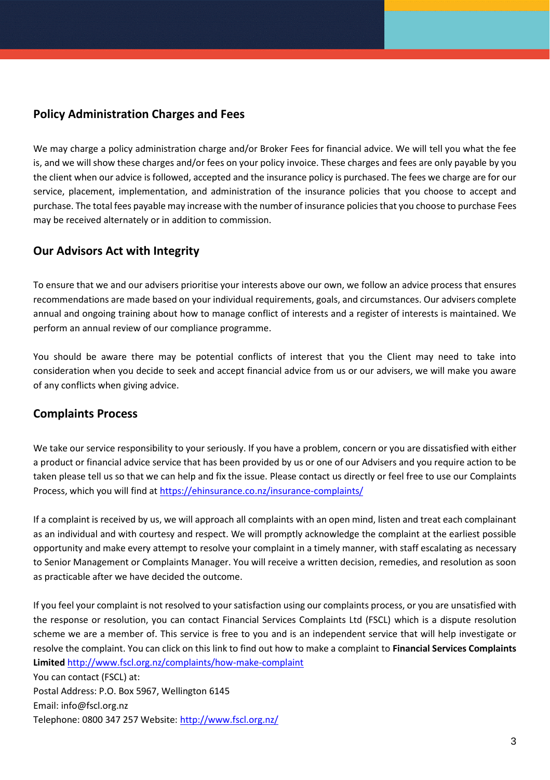## **Policy Administration Charges and Fees**

We may charge a policy administration charge and/or Broker Fees for financial advice. We will tell you what the fee is, and we will show these charges and/or fees on your policy invoice. These charges and fees are only payable by you the client when our advice is followed, accepted and the insurance policy is purchased. The fees we charge are for our service, placement, implementation, and administration of the insurance policies that you choose to accept and purchase. The total fees payable may increase with the number of insurance policies that you choose to purchase Fees may be received alternately or in addition to commission.

# **Our Advisors Act with Integrity**

To ensure that we and our advisers prioritise your interests above our own, we follow an advice process that ensures recommendations are made based on your individual requirements, goals, and circumstances. Our advisers complete annual and ongoing training about how to manage conflict of interests and a register of interests is maintained. We perform an annual review of our compliance programme.

You should be aware there may be potential conflicts of interest that you the Client may need to take into consideration when you decide to seek and accept financial advice from us or our advisers, we will make you aware of any conflicts when giving advice.

### **Complaints Process**

We take our service responsibility to your seriously. If you have a problem, concern or you are dissatisfied with either a product or financial advice service that has been provided by us or one of our Advisers and you require action to be taken please tell us so that we can help and fix the issue. Please contact us directly or feel free to use our Complaints Process, which you will find a[t https://ehinsurance.co.nz/insurance-complaints/](https://ehinsurance.co.nz/insurance-complaints/)

If a complaint is received by us, we will approach all complaints with an open mind, listen and treat each complainant as an individual and with courtesy and respect. We will promptly acknowledge the complaint at the earliest possible opportunity and make every attempt to resolve your complaint in a timely manner, with staff escalating as necessary to Senior Management or Complaints Manager. You will receive a written decision, remedies, and resolution as soon as practicable after we have decided the outcome.

If you feel your complaint is not resolved to your satisfaction using our complaints process, or you are unsatisfied with the response or resolution, you can contact Financial Services Complaints Ltd (FSCL) which is a dispute resolution scheme we are a member of. This service is free to you and is an independent service that will help investigate or resolve the complaint. You can click on this link to find out how to make a complaint to **Financial Services Complaints Limited** <http://www.fscl.org.nz/complaints/how-make-complaint>

You can contact (FSCL) at: Postal Address: P.O. Box 5967, Wellington 6145 Email: [info@fscl.org.nz](mailto:info@fscl.org.nz) Telephone: 0800 347 257 Website:<http://www.fscl.org.nz/>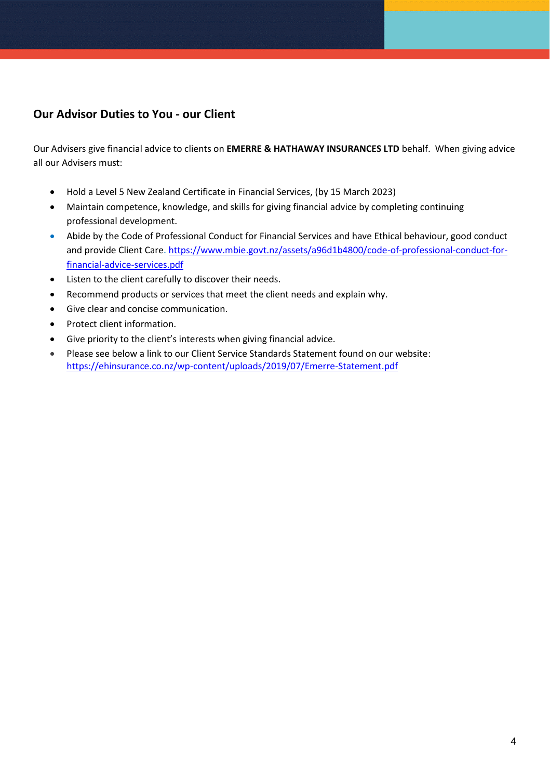# **Our Advisor Duties to You - our Client**

Our Advisers give financial advice to clients on **EMERRE & HATHAWAY INSURANCES LTD** behalf. When giving advice all our Advisers must:

- Hold a Level 5 New Zealand Certificate in Financial Services, (by 15 March 2023)
- Maintain competence, knowledge, and skills for giving financial advice by completing continuing professional development.
- Abide by the Code of Professional Conduct for Financial Services and have Ethical behaviour, good conduct and provide Client Care. [https://www.mbie.govt.nz/assets/a96d1b4800/code-of-professional-conduct-for](https://www.mbie.govt.nz/assets/a96d1b4800/code-of-professional-conduct-for-financial-advice-services.pdf)[financial-advice-services.pdf](https://www.mbie.govt.nz/assets/a96d1b4800/code-of-professional-conduct-for-financial-advice-services.pdf)
- Listen to the client carefully to discover their needs.
- Recommend products or services that meet the client needs and explain why.
- Give clear and concise communication.
- Protect client information.
- Give priority to the client's interests when giving financial advice.
- Please see below a link to our Client Service Standards Statement found on our website: <https://ehinsurance.co.nz/wp-content/uploads/2019/07/Emerre-Statement.pdf>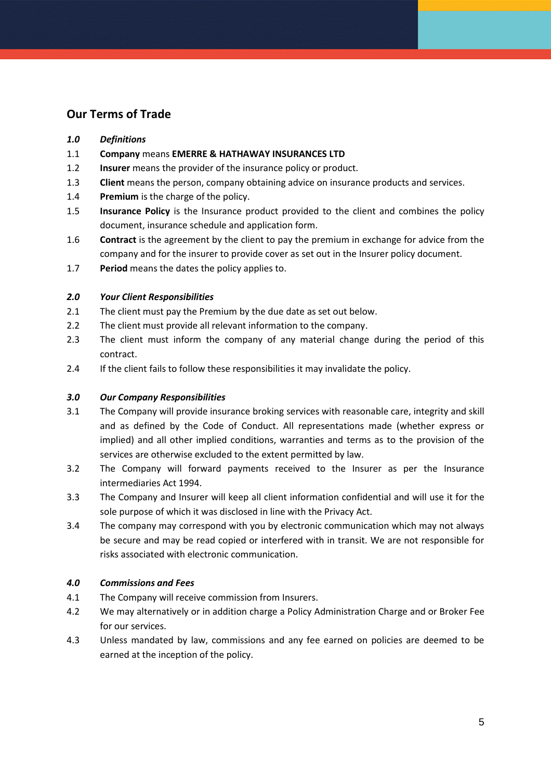### **Our Terms of Trade**

#### *1.0 Definitions*

- 1.1 **Company** means **EMERRE & HATHAWAY INSURANCES LTD**
- 1.2 **Insurer** means the provider of the insurance policy or product.
- 1.3 **Client** means the person, company obtaining advice on insurance products and services.
- 1.4 **Premium** is the charge of the policy.
- 1.5 **Insurance Policy** is the Insurance product provided to the client and combines the policy document, insurance schedule and application form.
- 1.6 **Contract** is the agreement by the client to pay the premium in exchange for advice from the company and for the insurer to provide cover as set out in the Insurer policy document.
- 1.7 **Period** means the dates the policy applies to.

#### *2.0 Your Client Responsibilities*

- 2.1 The client must pay the Premium by the due date as set out below.
- 2.2 The client must provide all relevant information to the company.
- 2.3 The client must inform the company of any material change during the period of this contract.
- 2.4 If the client fails to follow these responsibilities it may invalidate the policy.

### *3.0 Our Company Responsibilities*

- 3.1 The Company will provide insurance broking services with reasonable care, integrity and skill and as defined by the Code of Conduct. All representations made (whether express or implied) and all other implied conditions, warranties and terms as to the provision of the services are otherwise excluded to the extent permitted by law.
- 3.2 The Company will forward payments received to the Insurer as per the Insurance intermediaries Act 1994.
- 3.3 The Company and Insurer will keep all client information confidential and will use it for the sole purpose of which it was disclosed in line with the Privacy Act.
- 3.4 The company may correspond with you by electronic communication which may not always be secure and may be read copied or interfered with in transit. We are not responsible for risks associated with electronic communication.

### *4.0 Commissions and Fees*

- 4.1 The Company will receive commission from Insurers.
- 4.2 We may alternatively or in addition charge a Policy Administration Charge and or Broker Fee for our services.
- 4.3 Unless mandated by law, commissions and any fee earned on policies are deemed to be earned at the inception of the policy.